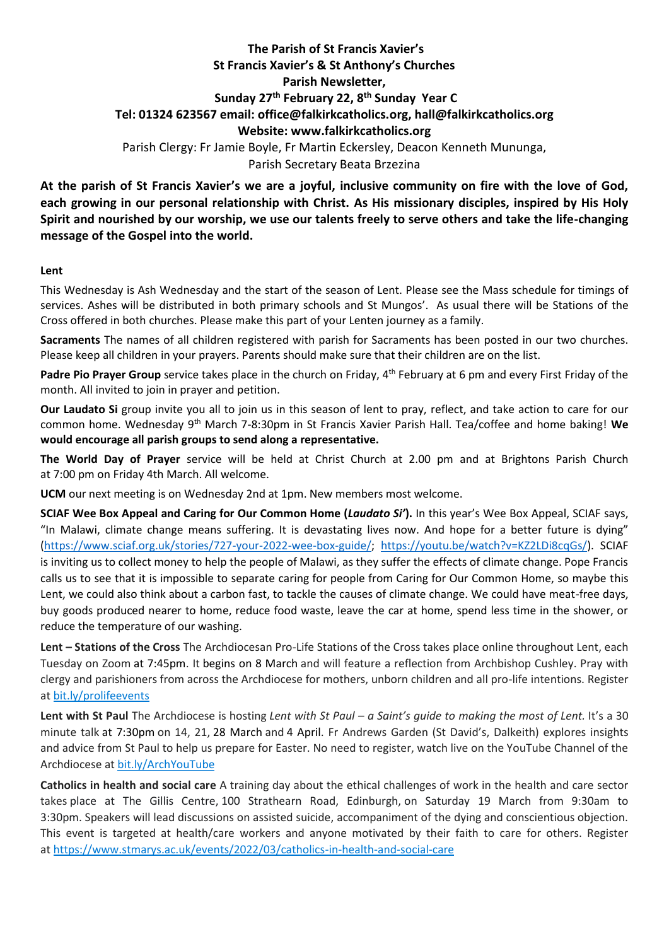## **The Parish of St Francis Xavier's St Francis Xavier's & St Anthony's Churches Parish Newsletter, Sunday 27 th February 22, 8 th Sunday Year C Tel: 01324 623567 email: office@falkirkcatholics.org, [hall@falkirkcatholics.org](mailto:hall@falkirkcatholics.org) Website: [www.falkirkcatholics.org](http://www.falkirkcatholics.org/)**  Parish Clergy: Fr Jamie Boyle, Fr Martin Eckersley, Deacon Kenneth Mununga, Parish Secretary Beata Brzezina

**At the parish of St Francis Xavier's we are a joyful, inclusive community on fire with the love of God, each growing in our personal relationship with Christ. As His missionary disciples, inspired by His Holy Spirit and nourished by our worship, we use our talents freely to serve others and take the life-changing message of the Gospel into the world.** 

## **Lent**

This Wednesday is Ash Wednesday and the start of the season of Lent. Please see the Mass schedule for timings of services. Ashes will be distributed in both primary schools and St Mungos'. As usual there will be Stations of the Cross offered in both churches. Please make this part of your Lenten journey as a family.

**Sacraments** The names of all children registered with parish for Sacraments has been posted in our two churches. Please keep all children in your prayers. Parents should make sure that their children are on the list.

Padre Pio Prayer Group service takes place in the church on Friday, 4<sup>th</sup> February at 6 pm and every First Friday of the month. All invited to join in prayer and petition.

**Our Laudato Si** group invite you all to join us in this season of lent to pray, reflect, and take action to care for our common home. Wednesday 9th March 7-8:30pm in St Francis Xavier Parish Hall. Tea/coffee and home baking! **We would encourage all parish groups to send along a representative.** 

**The World Day of Prayer** service will be held at Christ Church at 2.00 pm and at Brightons Parish Church at 7:00 pm on Friday 4th March. All welcome.

**UCM** our next meeting is on Wednesday 2nd at 1pm. New members most welcome.

**SCIAF Wee Box Appeal and Caring for Our Common Home (***Laudato Si'***).** In this year's Wee Box Appeal, SCIAF says, "In Malawi, climate change means suffering. It is devastating lives now. And hope for a better future is dying" [\(https://www.sciaf.org.uk/stories/727-your-2022-wee-box-guide/;](https://www.sciaf.org.uk/stories/727-your-2022-wee-box-guide/) [https://youtu.be/watch?v=KZ2LDi8cqGs/\)](https://youtu.be/watch?v=KZ2LDi8cqGs/). SCIAF is inviting us to collect money to help the people of Malawi, as they suffer the effects of climate change. Pope Francis calls us to see that it is impossible to separate caring for people from Caring for Our Common Home, so maybe this Lent, we could also think about a carbon fast, to tackle the causes of climate change. We could have meat-free days, buy goods produced nearer to home, reduce food waste, leave the car at home, spend less time in the shower, or reduce the temperature of our washing.

**Lent – Stations of the Cross** The Archdiocesan Pro-Life Stations of the Cross takes place online throughout Lent, each Tuesday on Zoom at 7:45pm. It begins on 8 March and will feature a reflection from Archbishop Cushley. Pray with clergy and parishioners from across the Archdiocese for mothers, unborn children and all pro-life intentions. Register at [bit.ly/prolifeevents](https://www.eventbrite.co.uk/cc/pro-life-events-150559)

**Lent with St Paul** The Archdiocese is hosting *Lent with St Paul – a Saint's guide to making the most of Lent.* It's a 30 minute talk at 7:30pm on 14, 21, 28 March and 4 April. Fr Andrews Garden (St David's, Dalkeith) explores insights and advice from St Paul to help us prepare for Easter. No need to register, watch live on the YouTube Channel of the Archdiocese at [bit.ly/ArchYouTube](https://www.youtube.com/channel/UCpeWTFr87oQNpdWGgv_G9bw/videos)

**Catholics in health and social care** A training day about the ethical challenges of work in the health and care sector takes place at The Gillis Centre, 100 Strathearn Road, Edinburgh, on Saturday 19 March from 9:30am to 3:30pm. Speakers will lead discussions on assisted suicide, accompaniment of the dying and conscientious objection. This event is targeted at health/care workers and anyone motivated by their faith to care for others. Register at <https://www.stmarys.ac.uk/events/2022/03/catholics-in-health-and-social-care>